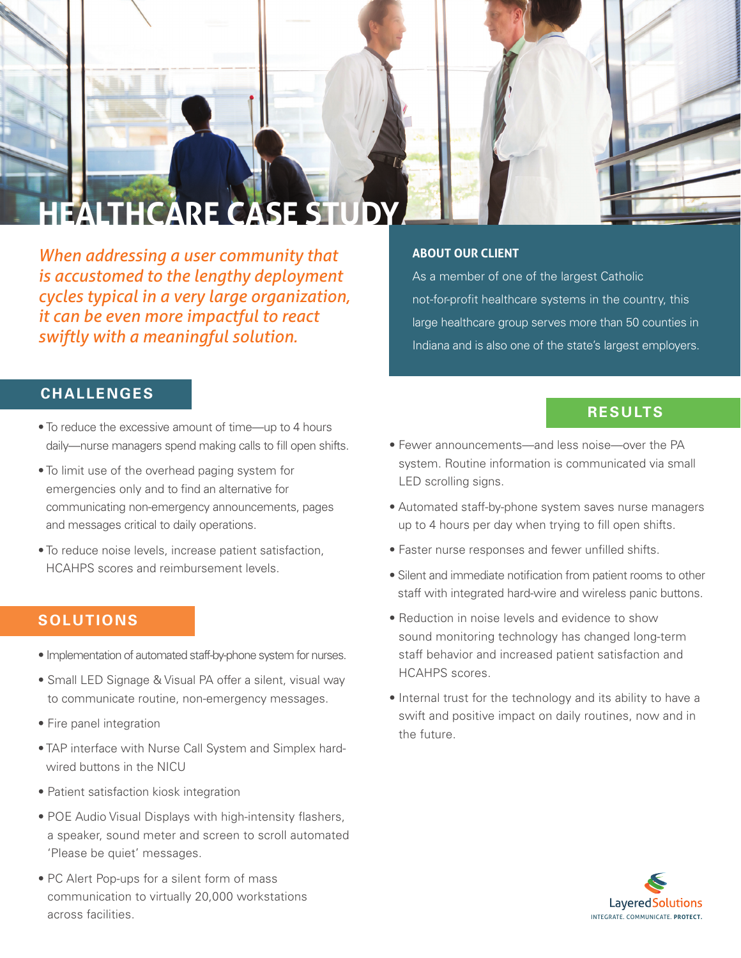

*When addressing a user community that is accustomed to the lengthy deployment cycles typical in a very large organization, it can be even more impactful to react swiftly with a meaningful solution.*

## **ABOUT OUR CLIENT**

As a member of one of the largest Catholic not-for-profit healthcare systems in the country, this large healthcare group serves more than 50 counties in Indiana and is also one of the state's largest employers.

## **CHALLENGES**

- To reduce the excessive amount of time—up to 4 hours daily—nurse managers spend making calls to fill open shifts.
- To limit use of the overhead paging system for emergencies only and to find an alternative for communicating non-emergency announcements, pages and messages critical to daily operations.
- To reduce noise levels, increase patient satisfaction, HCAHPS scores and reimbursement levels.

## **SOLUTIONS**

- Implementation of automated staff-by-phone system for nurses.
- Small LED Signage & Visual PA offer a silent, visual way to communicate routine, non-emergency messages.
- Fire panel integration
- TAP interface with Nurse Call System and Simplex hardwired buttons in the NICU
- Patient satisfaction kiosk integration
- POE Audio Visual Displays with high-intensity flashers, a speaker, sound meter and screen to scroll automated 'Please be quiet' messages.
- PC Alert Pop-ups for a silent form of mass communication to virtually 20,000 workstations across facilities.

## **RESULTS**

- Fewer announcements—and less noise—over the PA system. Routine information is communicated via small LED scrolling signs.
- Automated staff-by-phone system saves nurse managers up to 4 hours per day when trying to fill open shifts.
- Faster nurse responses and fewer unfilled shifts.
- Silent and immediate notification from patient rooms to other staff with integrated hard-wire and wireless panic buttons.
- Reduction in noise levels and evidence to show sound monitoring technology has changed long-term staff behavior and increased patient satisfaction and HCAHPS scores.
- Internal trust for the technology and its ability to have a swift and positive impact on daily routines, now and in the future.